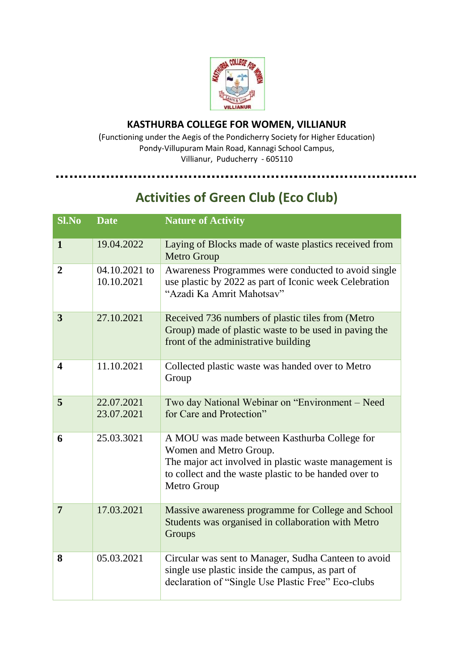

## **KASTHURBA COLLEGE FOR WOMEN, VILLIANUR**

(Functioning under the Aegis of the Pondicherry Society for Higher Education) Pondy-Villupuram Main Road, Kannagi School Campus, Villianur, Puducherry - 605110

## **Activities of Green Club (Eco Club)**

| Sl.No                   | <b>Date</b>                 | <b>Nature of Activity</b>                                                                                                                                                                               |
|-------------------------|-----------------------------|---------------------------------------------------------------------------------------------------------------------------------------------------------------------------------------------------------|
| $\mathbf{1}$            | 19.04.2022                  | Laying of Blocks made of waste plastics received from<br>Metro Group                                                                                                                                    |
| $\overline{2}$          | 04.10.2021 to<br>10.10.2021 | Awareness Programmes were conducted to avoid single<br>use plastic by 2022 as part of Iconic week Celebration<br>"Azadi Ka Amrit Mahotsav"                                                              |
| 3                       | 27.10.2021                  | Received 736 numbers of plastic tiles from (Metro<br>Group) made of plastic waste to be used in paving the<br>front of the administrative building                                                      |
| $\overline{\mathbf{4}}$ | 11.10.2021                  | Collected plastic waste was handed over to Metro<br>Group                                                                                                                                               |
| 5                       | 22.07.2021<br>23.07.2021    | Two day National Webinar on "Environment – Need<br>for Care and Protection"                                                                                                                             |
| 6                       | 25.03.3021                  | A MOU was made between Kasthurba College for<br>Women and Metro Group.<br>The major act involved in plastic waste management is<br>to collect and the waste plastic to be handed over to<br>Metro Group |
| $\overline{7}$          | 17.03.2021                  | Massive awareness programme for College and School<br>Students was organised in collaboration with Metro<br>Groups                                                                                      |
| 8                       | 05.03.2021                  | Circular was sent to Manager, Sudha Canteen to avoid<br>single use plastic inside the campus, as part of<br>declaration of "Single Use Plastic Free" Eco-clubs                                          |